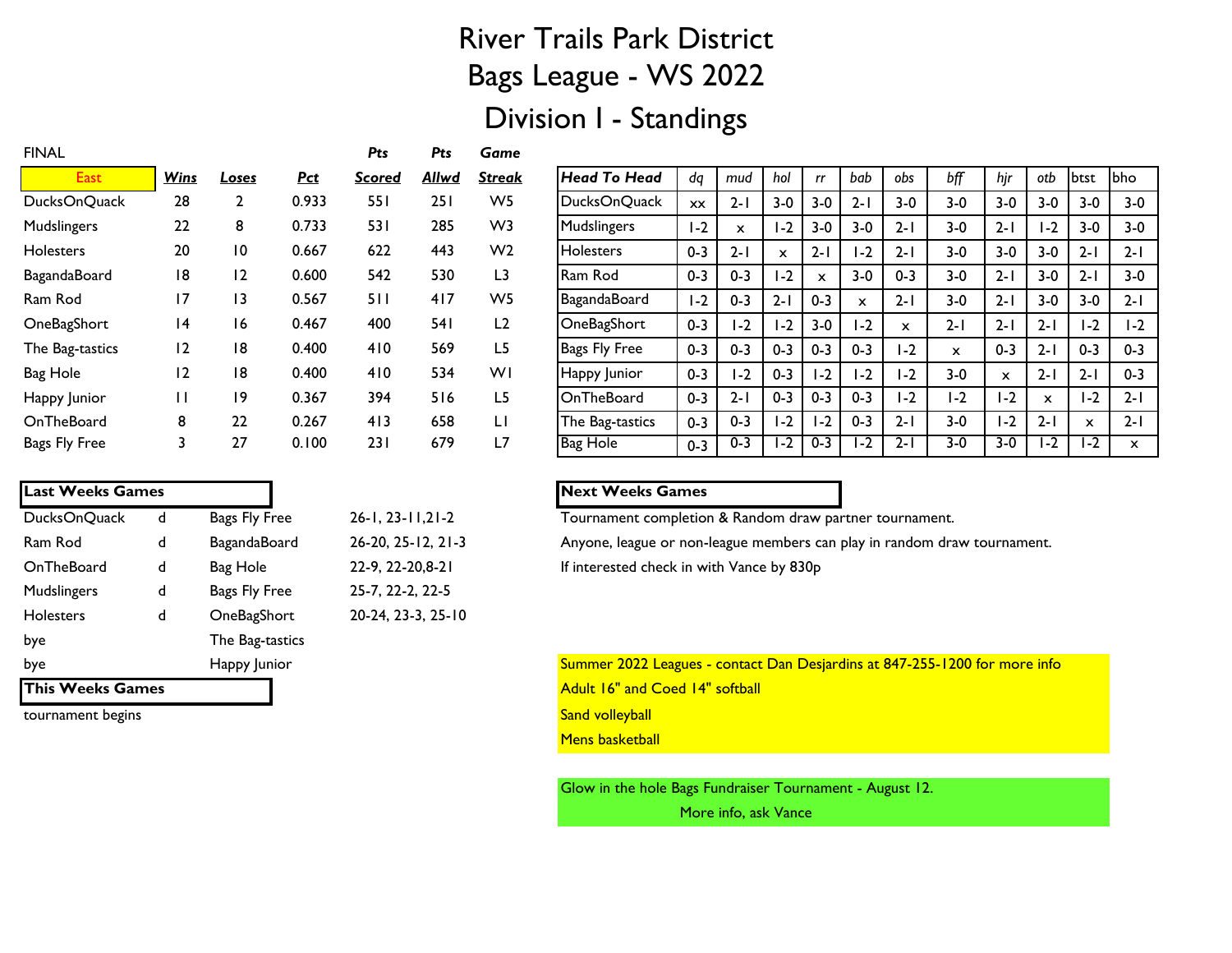# River Trails Park District Bags League - WS 2022

## Division I - Standings

| <b>FINAL</b>     |             |                 |            | Pts    | Pts          | Game           |
|------------------|-------------|-----------------|------------|--------|--------------|----------------|
| <b>East</b>      | <u>Wins</u> | Loses           | <b>Pct</b> | Scored | <u>Allwd</u> | Streak         |
| DucksOnQuack     | 28          | $\mathbf{2}$    | 0.933      | 551    | 251          | W <sub>5</sub> |
| Mudslingers      | 22          | 8               | 0.733      | 531    | 285          | W3             |
| <b>Holesters</b> | 20          | $\overline{10}$ | 0.667      | 622    | 443          | W <sub>2</sub> |
| BagandaBoard     | 18          | 12              | 0.600      | 542    | 530          | L <sub>3</sub> |
| Ram Rod          | 17          | 13              | 0.567      | 511    | 417          | W <sub>5</sub> |
| OneBagShort      | 14          | 16              | 0.467      | 400    | 54 I         | L2             |
| The Bag-tastics  | 12          | 18              | 0.400      | 410    | 569          | L5             |
| Bag Hole         | 12          | 18              | 0.400      | 410    | 534          | WI             |
| Happy Junior     | П           | 19              | 0.367      | 394    | 516          | L5             |
| OnTheBoard       | 8           | 22              | 0.267      | 413    | 658          | LI             |
| Bags Fly Free    | 3           | 27              | 0.100      | 231    | 679          | L7             |

| <b>Last Weeks Games</b> |   |                 |
|-------------------------|---|-----------------|
| DucksOnQuack            | d | Bags Fly Free   |
| Ram Rod                 | d | BagandaBoard    |
| OnTheBoard              | d | Bag Hole        |
| Mudslingers             | d | Bags Fly Free   |
| <b>Holesters</b>        | d | OneBagShort     |
| bye                     |   | The Bag-tastics |
| bye                     |   | Happy Junior    |
|                         |   |                 |

25-7, 22-2, 22-5 20-24, 23-3, 25-10

| East                | <b>Wins</b> | Loses          | <u>Pct</u> | <b>Scored</b> | Allwd | <u>Streak</u>  | <b>Head To Head</b>  | dq        | mud     | hol     | rr          | bab     | obs                                 | bff          | hjr          | otb     | btst                      | <b>bho</b>   |
|---------------------|-------------|----------------|------------|---------------|-------|----------------|----------------------|-----------|---------|---------|-------------|---------|-------------------------------------|--------------|--------------|---------|---------------------------|--------------|
| DucksOnQuack        | 28          |                | 0.933      | 551           | 251   | W5             | DucksOnQuack         | <b>XX</b> | $2 - 1$ | $3 - 0$ | $3 - 0$     | $2 - 1$ | $3 - 0$                             | $3 - 0$      | $3 - 0$      | $3 - 0$ | $3 - 0$                   | $3 - 0$      |
| <b>Mudslingers</b>  | 22          | 8              | 0.733      | 531           | 285   | W3             | Mudslingers          | l -2      | X       | I -2    | $3 - 0$     | $3-0$   | $2 - 1$                             | $3-0$        | $2 - 1$      | $-2$    | $3 - 0$                   | $3-0$        |
| <b>Holesters</b>    | 20          | $\overline{0}$ | 0.667      | 622           | 443   | W <sub>2</sub> | <b>Holesters</b>     | $0 - 3$   | $2 - 1$ | X       | $2 - 1$     | $-2$    | $2 - 1$                             | $3-0$        | $3-0$        | $3-0$   | $2 - 1$                   | $2 - 1$      |
| <b>BagandaBoard</b> | 8           | 12             | 0.600      | 542           | 530   | L3             | Ram Rod              | $0 - 3$   | $0 - 3$ | $1-2$   | $\mathbf x$ | $3 - 0$ | $0 - 3$                             | $3 - 0$      | $2 - 1$      | $3-0$   | $2 - 1$                   | $3 - 0$      |
| Ram Rod             | 17          | 13             | 0.567      | 511           | 417   | W <sub>5</sub> | BagandaBoard         | $1-2$     | $0 - 3$ | $2 - 1$ | $0 - 3$     | x       | $2 - 1$                             | $3-0$        | $2 - 1$      | $3-0$   | $3 - 0$                   | $2 - 1$      |
| OneBagShort         | 4           | 16             | 0.467      | 400           | 54 I  | L2             | OneBagShort          | $0 - 3$   | l -2    | I -2    | $3 - 0$     | I-2     | $\mathbf x$                         | $2 - 1$      | $2 - 1$      | $2 - 1$ | $1-2$                     | $1-2$        |
| The Bag-tastics     | 12          | 18             | 0.400      | 410           | 569   | L <sub>5</sub> | <b>Bags Fly Free</b> | $0 - 3$   | $0 - 3$ | $0 - 3$ | $0 - 3$     | $0 - 3$ | I-2                                 | $\mathsf{x}$ | $0 - 3$      | $2 - 1$ | $0 - 3$                   | $0 - 3$      |
| Bag Hole            | 12          | 18             | 0.400      | 410           | 534   | WI             | Happy Junior         | $0 - 3$   | I -2    | $0 - 3$ | $1-2$       | $-2$    | $1-2$                               | $3-0$        | $\mathsf{x}$ | $2 - 1$ | $2 - 1$                   | $0 - 3$      |
| Happy Junior        | П           | 19             | 0.367      | 394           | 516   | L5             | OnTheBoard           | $0 - 3$   | $2 - 1$ | $0 - 3$ | $0 - 3$     | $0 - 3$ | I-2                                 | I-2          | $1-2$        | x       | I-2                       | $2 - 1$      |
| OnTheBoard          | 8           | 22             | 0.267      | 413           | 658   | LI             | The Bag-tastics      | $0 - 3$   | $0 - 3$ | $1-2$   | $1-2$       | $0 - 3$ | $2 - 1$                             | $3-0$        | I-2          | $2 - 1$ | $\boldsymbol{\mathsf{x}}$ | $2 - 1$      |
| Bags Fly Free       |             | 27             | 0.100      | 231           | 679   | L7             | <b>Bag Hole</b>      | $0 - 3$   | $0 - 3$ | l -2    | $0 - 3$     | $-2$    | $\overline{\phantom{0}}$<br>$2 - 1$ | $3-0$        | $3-0$        | $-2$    | l -2                      | $\mathsf{x}$ |

### **Last Weeks Games Next Weeks Games**

26-1, 23-11,21-2 Tournament completion & Random draw partner tournament.

26-20, 25-12, 21-3 Anyone, league or non-league members can play in random draw tournament.

22-9, 22-20,8-21 If interested check in with Vance by 830p

Summer 2022 Leagues - contact Dan Desjardins at 847-255-1200 for more info **This Weeks Games Adult 16" and Coed 14" softball Mens basketball** 

> Glow in the hole Bags Fundraiser Tournament - August 12. More info, ask Vance

#### tournament begins Sand volleyball and the state of the state of the Sand volleyball state of the Sand volleyball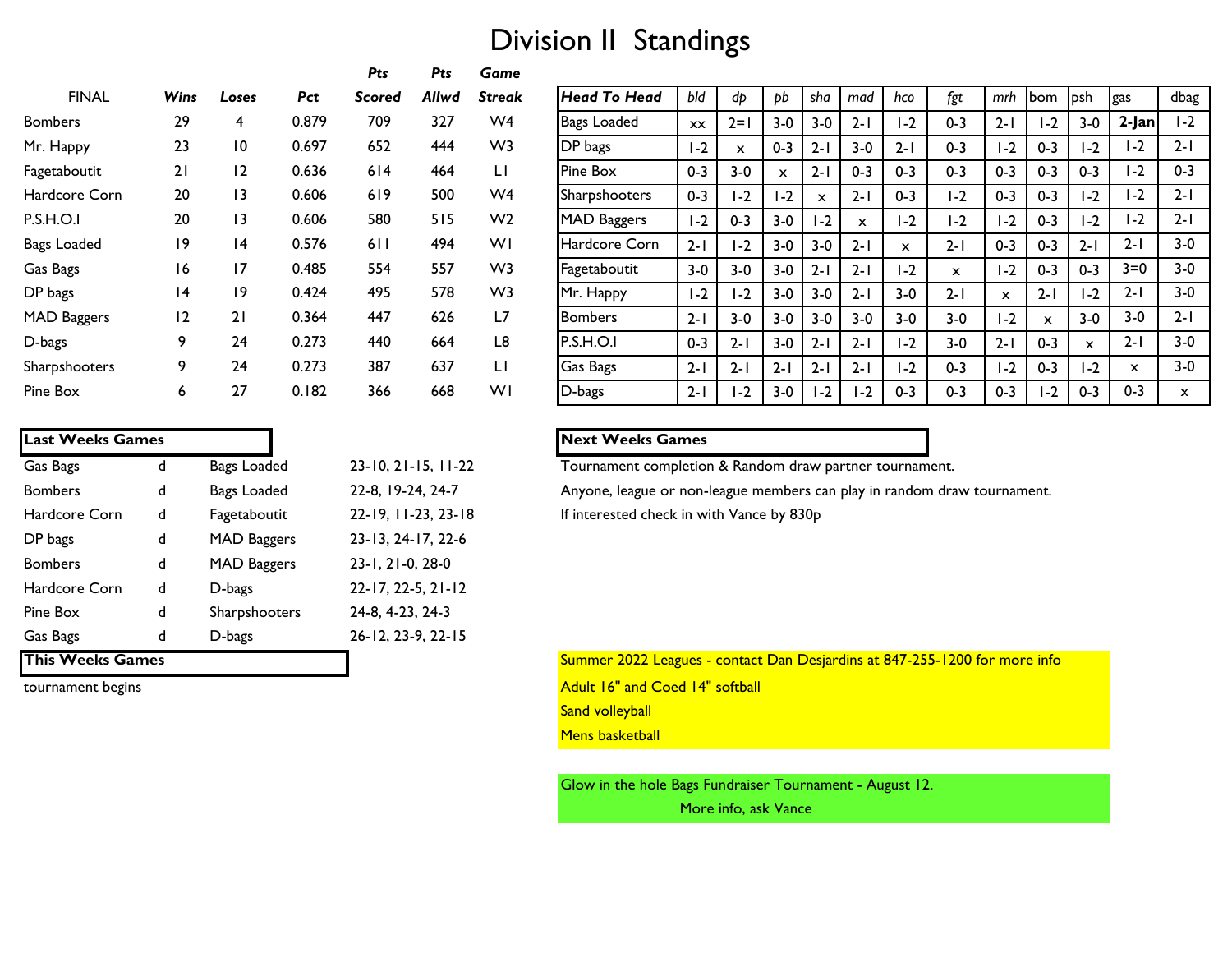# Division II Standings

|                    |             |                 |       | Pts    | Pts   | Game           |
|--------------------|-------------|-----------------|-------|--------|-------|----------------|
| <b>FINAL</b>       | <b>Wins</b> | Loses           | Pct   | Scored | Allwd | Streak         |
| <b>Bombers</b>     | 29          | 4               | 0.879 | 709    | 327   | W <sub>4</sub> |
| Mr. Happy          | 23          | 10              | 0.697 | 652    | 444   | W <sub>3</sub> |
| Fagetaboutit       | 21          | 12              | 0.636 | 614    | 464   | LI             |
| Hardcore Corn      | 20          | 13              | 0.606 | 619    | 500   | W <sub>4</sub> |
| P.S.H.O.I          | 20          | $\overline{13}$ | 0.606 | 580    | 515   | W <sub>2</sub> |
| Bags Loaded        | 19          | 14              | 0.576 | 611    | 494   | WI             |
| Gas Bags           | 16          | 17              | 0.485 | 554    | 557   | W <sub>3</sub> |
| DP bags            | 14          | 19              | 0.424 | 495    | 578   | W <sub>3</sub> |
| <b>MAD Baggers</b> | 12          | 21              | 0.364 | 447    | 626   | L7             |
| D-bags             | 9           | 24              | 0.273 | 440    | 664   | L8             |
| Sharpshooters      | 9           | 24              | 0.273 | 387    | 637   | LI             |
| Pine Box           | 6           | 27              | 0.182 | 366    | 668   | WI             |

| <b>Last Weeks Games</b> |   |                    |                            |
|-------------------------|---|--------------------|----------------------------|
| Gas Bags                | d | Bags Loaded        | $23-10, 21-15, 11-22$      |
| <b>Bombers</b>          | d | Bags Loaded        | 22-8, 19-24, 24-7          |
| Hardcore Corn           | d | Fagetaboutit       | 22-19, 11-23, 23-18        |
| DP bags                 | d | <b>MAD Baggers</b> | 23-13, 24-17, 22-6         |
| <b>Bombers</b>          | d | <b>MAD Baggers</b> | 23-1, 21-0, 28-0           |
| Hardcore Corn           | d | D-bags             | $22 - 17, 22 - 5, 21 - 12$ |
| Pine Box                | d | Sharpshooters      | 24-8, 4-23, 24-3           |
| Gas Bags                | d | D-bags             | 26-12, 23-9, 22-15         |
| <b>This Weeks Games</b> |   |                    |                            |

| <b>FINAL</b>         | <b>Wins</b> | <b>Loses</b> | <b>Pct</b> | <u>Scored</u> | <b>Allwd</b> | <u>Streak</u>  | Head To Head         | bld     | dp                        | bb      | sha                       | mad          | hco          | fgt          | mrh     | bom          | lpsh.        | <b>gas</b>   | dbag         |
|----------------------|-------------|--------------|------------|---------------|--------------|----------------|----------------------|---------|---------------------------|---------|---------------------------|--------------|--------------|--------------|---------|--------------|--------------|--------------|--------------|
| <b>Bombers</b>       | 29          | 4            | 0.879      | 709           | 327          | W4             | Bags Loaded          | XX      | $2=1$                     | $3-0$   | $3-0$                     | $2 - 1$      | $1-2$        | $0 - 3$      | $2 - 1$ | $1-2$        | $3-0$        | $2$ -Jan     | $1-2$        |
| Mr. Happy            | 23          | 10           | 0.697      | 652           | 444          | W <sub>3</sub> | <b>DP</b> bags       | $1-2$   | $\boldsymbol{\mathsf{x}}$ | $0 - 3$ | $2 - 1$                   | $3 - 0$      | $2 - 1$      | $0 - 3$      | $1-2$   | $0 - 3$      | I-2          | $1-2$        | $2 - 1$      |
| Fagetaboutit         | 21          | 12           | 0.636      | 614           | 464          | LI             | Pine Box             | $0 - 3$ | $3 - 0$                   | x       | $2 - 1$                   | $0 - 3$      | $0 - 3$      | $0 - 3$      | $0 - 3$ | $0 - 3$      | $0 - 3$      | $1-2$        | $0 - 3$      |
| Hardcore Corn        | 20          | 13           | 0.606      | 619           | 500          | W <sub>4</sub> | <b>Sharpshooters</b> | $0 - 3$ | $1-2$                     | $-2$    | $\boldsymbol{\mathsf{x}}$ | $2 - 1$      | $0 - 3$      | $-2$         | $0 - 3$ | $0 - 3$      | $1-2$        | $1-2$        | $2 - 1$      |
| P.S.H.O.I            | 20          | 13           | 0.606      | 580           | 515          | W <sub>2</sub> | <b>IMAD Baggers</b>  | $1-2$   | $0 - 3$                   | $3 - 0$ | I-2                       | $\mathsf{x}$ | $1-2$        | $-2$         | $1-2$   | $0 - 3$      | I-2          | $1-2$        | $2 - 1$      |
| Bags Loaded          | 19          | 14           | 0.576      | 611           | 494          | WI             | Hardcore Corn        | $2 - 1$ | $1-2$                     | $3-0$   | $3-0$                     | $2 - 1$      | $\mathbf{x}$ | $2 - 1$      | $0 - 3$ | $0 - 3$      | $2 - 1$      | $2 - 1$      | $3-0$        |
| Gas Bags             | 16          | 17           | 0.485      | 554           | 557          | W <sub>3</sub> | Fagetaboutit         | $3 - 0$ | $3 - 0$                   | $3 - 0$ | $2 - 1$                   | $2 - 1$      | $1-2$        | $\mathsf{x}$ | $1-2$   | $0 - 3$      | $0 - 3$      | $3=0$        | $3 - 0$      |
| DP bags              | 14          | 19           | 0.424      | 495           | 578          | W <sub>3</sub> | Mr. Happy            | $1-2$   | $1-2$                     | $3 - 0$ | $3-0$                     | $2 - 1$      | $3 - 0$      | $2 - 1$      | X       | $2 - 1$      | I-2          | $2 - 1$      | $3-0$        |
| <b>MAD Baggers</b>   | 12          | 21           | 0.364      | 447           | 626          | L7             | <b>Bombers</b>       | $2 - 1$ | $3 - 0$                   | $3-0$   | $3-0$                     | $3 - 0$      | $3-0$        | $3 - 0$      | $1-2$   | $\mathsf{x}$ | $3-0$        | $3-0$        | $2 - 1$      |
| D-bags               | 9           | 24           | 0.273      | 440           | 664          | L8             | P.S.H.O.I            | $0 - 3$ | $2 - 1$                   | $3 - 0$ | $2 - 1$                   | $2 - 1$      | $1-2$        | $3 - 0$      | $2 - 1$ | $0 - 3$      | $\mathbf{x}$ | $2 - 1$      | $3 - 0$      |
| <b>Sharpshooters</b> | 9           | 24           | 0.273      | 387           | 637          | LI             | <b>Gas Bags</b>      | $2 - 1$ | $2 - 1$                   | $2 - 1$ | $2 - 1$                   | $2 - 1$      | $1-2$        | $0 - 3$      | $1-2$   | $0 - 3$      | I-2          | $\mathsf{x}$ | $3 - 0$      |
| Pine Box             | 6.          | 27           | 0.182      | 366           | 668          | WI             | D-bags               | $2 - 1$ | I-2                       | $3 - 0$ | $1-2$                     | $1-2$        | $0 - 3$      | $0 - 3$      | $0 - 3$ | $1-2$        | $0 - 3$      | $0 - 3$      | $\mathsf{x}$ |
|                      |             |              |            |               |              |                |                      |         |                           |         |                           |              |              |              |         |              |              |              |              |

### **Last Weeks Games Next Weeks Games**

Tournament completion & Random draw partner tournament.

Anyone, league or non-league members can play in random draw tournament. If interested check in with Vance by 830p

Summer 2022 Leagues - contact Dan Desjardins at 847-255-1200 for more info tournament begins **Adult 16"** and Coed 14" softball Sand volleyball **Mens basketball** 

> Glow in the hole Bags Fundraiser Tournament - August 12. More info, ask Vance